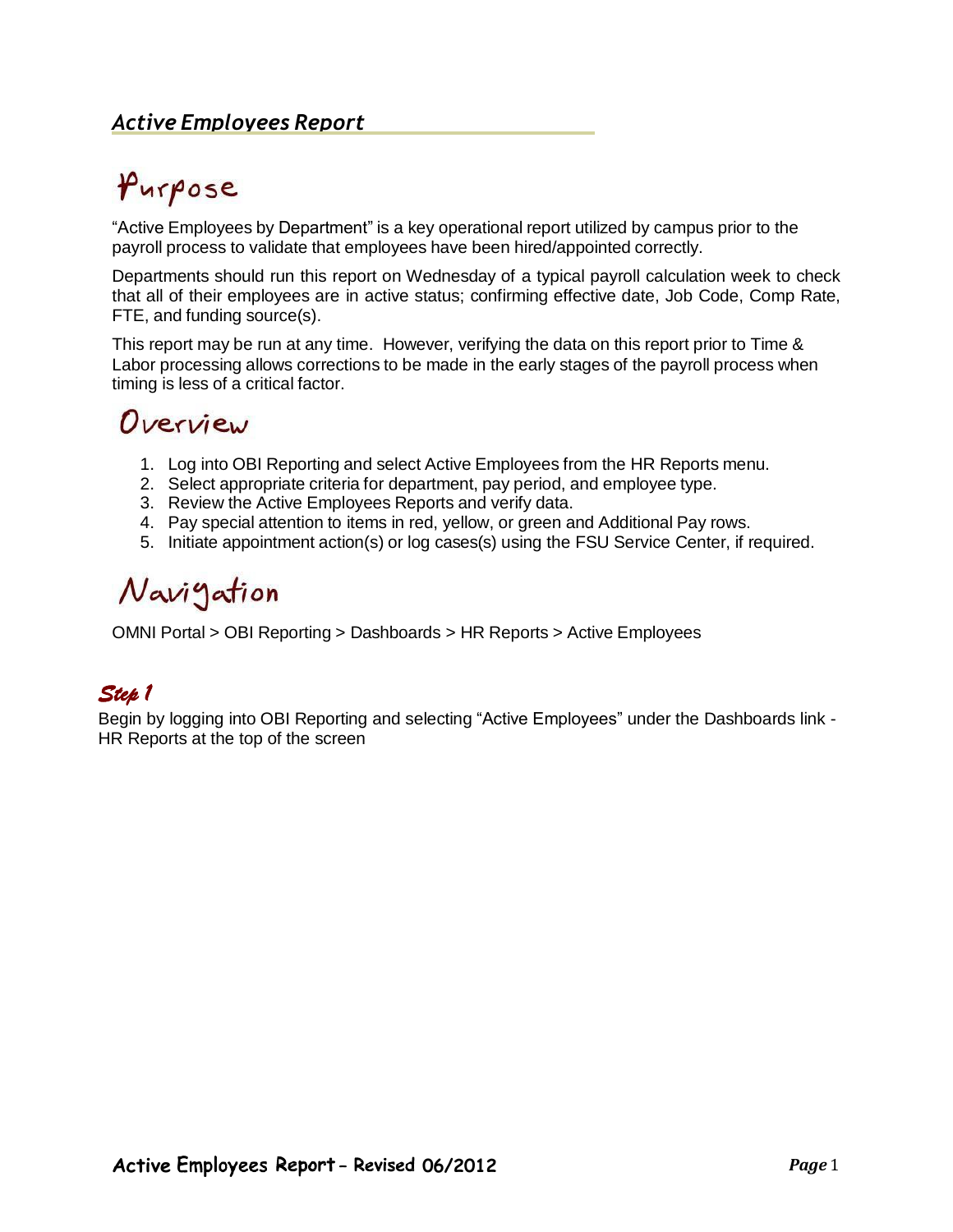### *Active Employees Report*

# Purpose

"Active Employees by Department" is a key operational report utilized by campus prior to the payroll process to validate that employees have been hired/appointed correctly.

Departments should run this report on Wednesday of a typical payroll calculation week to check that all of their employees are in active status; confirming effective date, Job Code, Comp Rate, FTE, and funding source(s).

This report may be run at any time. However, verifying the data on this report prior to Time & Labor processing allows corrections to be made in the early stages of the payroll process when timing is less of a critical factor.

### Overview

- 1. Log into OBI Reporting and select Active Employees from the HR Reports menu.
- 2. Select appropriate criteria for department, pay period, and employee type.
- 3. Review the Active Employees Reports and verify data.
- 4. Pay special attention to items in red, yellow, or green and Additional Pay rows.
- 5. Initiate appointment action(s) or log cases(s) using the FSU Service Center, if required.

## Navigation

OMNI Portal > OBI Reporting > Dashboards > HR Reports > Active Employees

#### *Step 1*

Begin by logging into OBI Reporting and selecting "Active Employees" under the Dashboards link - HR Reports at the top of the screen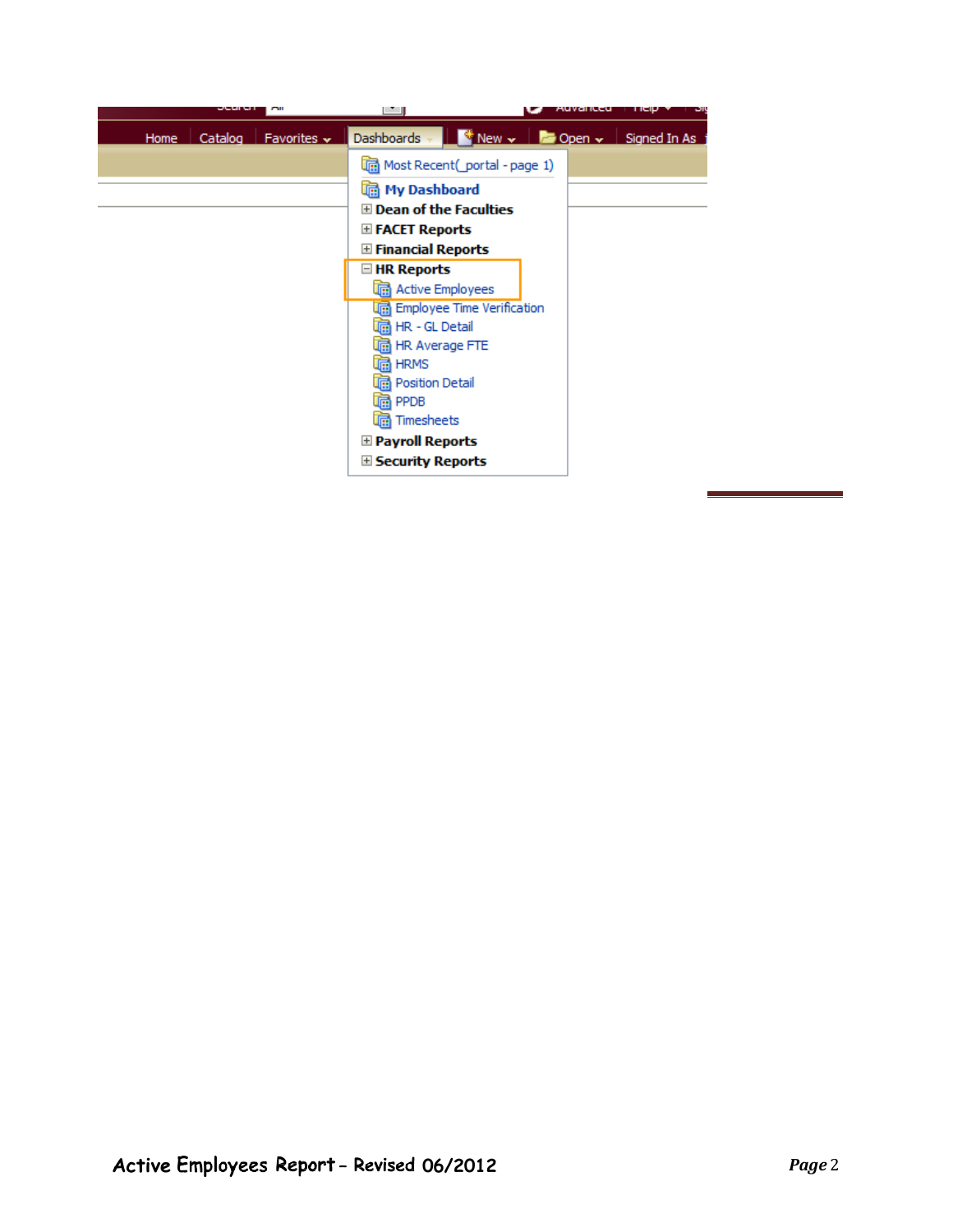| ucuru r<br>rм                                   | Auvanceu<br>1 ICID<br>≛ ∥                                               |
|-------------------------------------------------|-------------------------------------------------------------------------|
| Catalog  <br>Favorites $\mathbf{\cdot}$<br>Home | $\frac{1}{2}$ New $\sqrt{2}$ Dpen $\sqrt{2}$ Signed In As<br>Dashboards |
|                                                 | Most Recent(_portal - page 1)                                           |
|                                                 | <b>B</b> My Dashboard                                                   |
|                                                 | $\boxplus$ Dean of the Faculties                                        |
|                                                 | <b>⊞ FACET Reports</b>                                                  |
|                                                 | <b>⊞ Financial Reports</b>                                              |
|                                                 | $\equiv$ HR Reports                                                     |
|                                                 | Active Employees                                                        |
|                                                 | Employee Time Verification                                              |
|                                                 | <b>In HR - GL Detail</b>                                                |
|                                                 | <b>In HR Average FTE</b>                                                |
|                                                 | <b>THE HRMS</b>                                                         |
|                                                 | <b>Position Detail</b>                                                  |
|                                                 | $\Box$ PPDB                                                             |
|                                                 | Um Timesheets                                                           |
|                                                 | <b>⊞ Payroll Reports</b>                                                |
|                                                 | E Security Reports                                                      |
|                                                 |                                                                         |

<u> 1989 - Johann Barnett, mars et</u>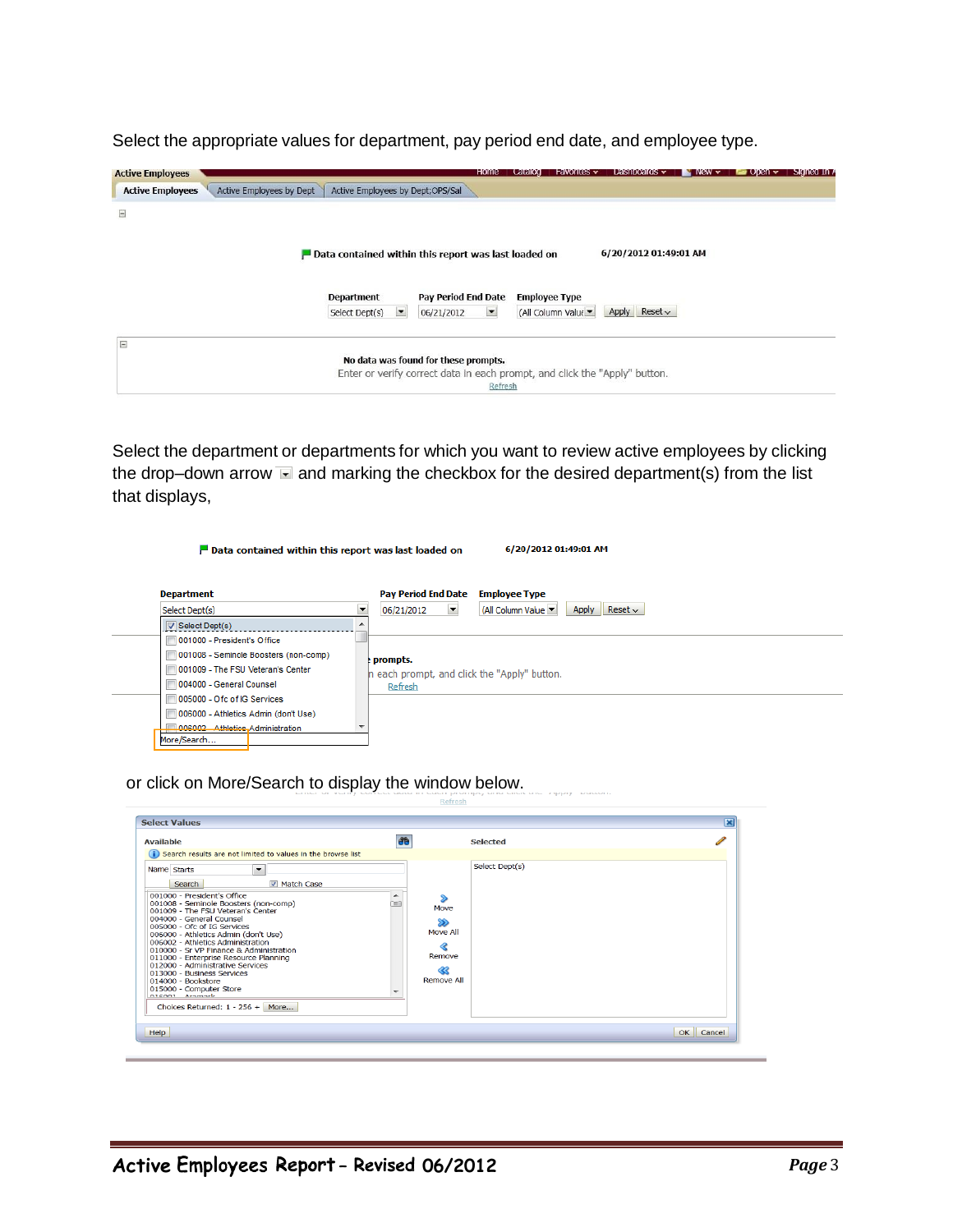Select the appropriate values for department, pay period end date, and employee type.

| <b>Active Employees</b>                             |                                                                     | Home                                                                       | ravorites <del>v</del><br>Catalog | Dashboards v            | $\mathbf{v}$ new $\mathbf{v}$ | signed in A<br>$\bullet$ open $\bullet$ |
|-----------------------------------------------------|---------------------------------------------------------------------|----------------------------------------------------------------------------|-----------------------------------|-------------------------|-------------------------------|-----------------------------------------|
| Active Employees by Dept<br><b>Active Employees</b> | Active Employees by Dept;OPS/Sal                                    |                                                                            |                                   |                         |                               |                                         |
| $\equiv$                                            |                                                                     |                                                                            |                                   |                         |                               |                                         |
|                                                     |                                                                     |                                                                            |                                   |                         |                               |                                         |
|                                                     |                                                                     |                                                                            |                                   |                         |                               |                                         |
|                                                     | $\blacksquare$ Data contained within this report was last loaded on |                                                                            |                                   | 6/20/2012 01:49:01 AM   |                               |                                         |
|                                                     |                                                                     |                                                                            |                                   |                         |                               |                                         |
|                                                     | <b>Department</b>                                                   | Pay Period End Date                                                        | <b>Employee Type</b>              |                         |                               |                                         |
|                                                     | Select Dept(s)<br>$\overline{\phantom{a}}$                          | 06/21/2012<br>$\blacksquare$                                               | (All Column Value                 | $Reset$ $\sim$<br>Apply |                               |                                         |
|                                                     |                                                                     |                                                                            |                                   |                         |                               |                                         |
| $=$                                                 |                                                                     |                                                                            |                                   |                         |                               |                                         |
|                                                     |                                                                     | No data was found for these prompts.                                       |                                   |                         |                               |                                         |
|                                                     |                                                                     | Enter or verify correct data in each prompt, and click the "Apply" button. |                                   |                         |                               |                                         |
|                                                     |                                                                     | Refresh                                                                    |                                   |                         |                               |                                         |

Select the department or departments for which you want to review active employees by clicking the drop-down arrow  $\blacksquare$  and marking the checkbox for the desired department(s) from the list that displays,

| $\blacksquare$ Data contained within this report was last loaded on |                                            | 6/20/2012 01:49:01 AM               |
|---------------------------------------------------------------------|--------------------------------------------|-------------------------------------|
| <b>Department</b>                                                   | <b>Pay Period End Date</b>                 | <b>Employee Type</b>                |
| Select Dept(s)                                                      | 06/21/2012<br>$\overline{\phantom{a}}$     | (All Column Value<br>Apply<br>Reset |
| $\triangledown$ Select Dept(s)                                      |                                            |                                     |
| 001000 - President's Office                                         |                                            |                                     |
| 001008 - Seminole Boosters (non-comp)                               | e prompts.                                 |                                     |
| 001009 - The FSU Veteran's Center                                   | each prompt, and click the "Apply" button. |                                     |
| 004000 - General Counsel                                            | Refresh                                    |                                     |
| 005000 - Ofc of IG Services                                         |                                            |                                     |
| 006000 - Athletics Admin (don't Use)                                |                                            |                                     |
| 006002 Athletics Administration                                     |                                            |                                     |
| More/Search                                                         |                                            |                                     |

or click on More/Search to display the window below.

| Available                                                                                                                                                                                                                                                                                                                                                                                                                                                                                                                                                                                                                                              |     |                                                         | Selected       |  |
|--------------------------------------------------------------------------------------------------------------------------------------------------------------------------------------------------------------------------------------------------------------------------------------------------------------------------------------------------------------------------------------------------------------------------------------------------------------------------------------------------------------------------------------------------------------------------------------------------------------------------------------------------------|-----|---------------------------------------------------------|----------------|--|
| (i) Search results are not limited to values in the browse list<br>Name Starts<br>$\overline{\phantom{0}}$<br>Search<br>√ Match Case<br>001000 - President's Office<br>001008 - Seminole Boosters (non-comp)<br>001009 - The FSU Veteran's Center<br>004000 - General Counsel<br>005000 - Ofc of IG Services<br>006000 - Athletics Admin (don't Use)<br>006002 - Athletics Administration<br>010000 - Sr VP Finance & Administration<br>011000 - Enterprise Resource Planning<br>012000 - Administrative Services<br>013000 - Business Services<br>014000 - Bookstore<br>015000 - Computer Store<br>016001 Aramark<br>Choices Returned: 1 - 256 + More | Eil | ⋟<br>Move<br>≫<br>Move All<br>Remove<br>æ<br>Remove All | Select Dept(s) |  |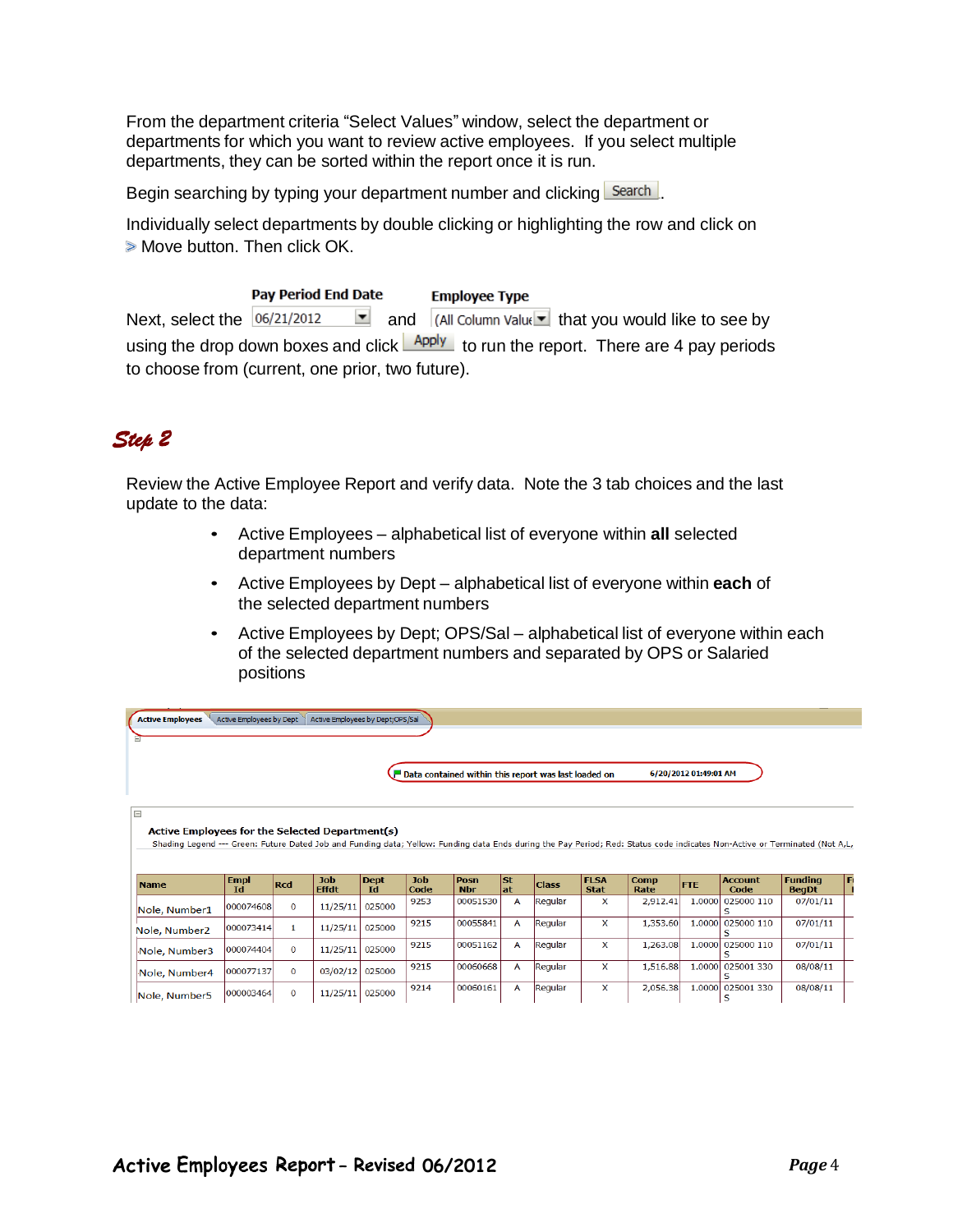From the department criteria "Select Values" window, select the department or departments for which you want to review active employees. If you select multiple departments, they can be sorted within the report once it is run.

Begin searching by typing your department number and clicking Search.

Individually select departments by double clicking or highlighting the row and click on Move button. Then click OK.

**Pay Period End Date Employee Type** Next, select the  $\frac{06}{21/2012}$   $\blacksquare$  and  $\blacksquare$  (All Column Value  $\blacksquare$  that you would like to see by using the drop down boxes and click  $\frac{Apply}{x}$  to run the report. There are 4 pay periods to choose from (current, one prior, two future).

### *Step 2*

Review the Active Employee Report and verify data. Note the 3 tab choices and the last update to the data:

- Active Employees alphabetical list of everyone within **all** selected department numbers
- Active Employees by Dept alphabetical list of everyone within **each** of the selected department numbers
- Active Employees by Dept; OPS/Sal alphabetical list of everyone within each of the selected department numbers and separated by OPS or Salaried positions

|                                                                                                                                                                             |             | Active Employees by Dept | Active Employees by Dept; OPS/Sal |             |            |                                                                     |                |              |             |             |                       |                   |                |   |
|-----------------------------------------------------------------------------------------------------------------------------------------------------------------------------|-------------|--------------------------|-----------------------------------|-------------|------------|---------------------------------------------------------------------|----------------|--------------|-------------|-------------|-----------------------|-------------------|----------------|---|
|                                                                                                                                                                             |             |                          |                                   |             |            |                                                                     |                |              |             |             |                       |                   |                |   |
|                                                                                                                                                                             |             |                          |                                   |             |            |                                                                     |                |              |             |             |                       |                   |                |   |
|                                                                                                                                                                             |             |                          |                                   |             |            |                                                                     |                |              |             |             |                       |                   |                |   |
|                                                                                                                                                                             |             |                          |                                   |             |            | $\blacksquare$ Data contained within this report was last loaded on |                |              |             |             | 6/20/2012 01:49:01 AM |                   |                |   |
|                                                                                                                                                                             |             |                          |                                   |             |            |                                                                     |                |              |             |             |                       |                   |                |   |
|                                                                                                                                                                             |             |                          |                                   |             |            |                                                                     |                |              |             |             |                       |                   |                |   |
| $\equiv$                                                                                                                                                                    |             |                          |                                   |             |            |                                                                     |                |              |             |             |                       |                   |                |   |
| Active Employees for the Selected Department(s)                                                                                                                             |             |                          |                                   |             |            |                                                                     |                |              |             |             |                       |                   |                |   |
| Shading Legend --- Green: Future Dated Job and Funding data; Yellow: Funding data Ends during the Pay Period; Red: Status code indicates Non-Active or Terminated (Not A,L, |             |                          |                                   |             |            |                                                                     |                |              |             |             |                       |                   |                |   |
|                                                                                                                                                                             |             |                          |                                   |             |            |                                                                     |                |              |             |             |                       |                   |                |   |
|                                                                                                                                                                             |             |                          |                                   |             |            |                                                                     |                |              |             |             |                       |                   |                |   |
|                                                                                                                                                                             |             |                          |                                   |             |            |                                                                     |                |              |             |             |                       |                   |                |   |
|                                                                                                                                                                             | <b>Empl</b> |                          | <b>Job</b>                        | <b>Dept</b> | <b>Job</b> | Posn                                                                | $ $ St         |              | <b>FLSA</b> | <b>Comp</b> |                       | <b>Account</b>    | <b>Funding</b> | F |
| <b>Name</b>                                                                                                                                                                 | <b>Id</b>   | Rcd                      | <b>Effdt</b>                      | <b>Id</b>   | Code       | <b>Nbr</b>                                                          | lat            | <b>Class</b> | <b>Stat</b> | Rate        | <b>FTE</b>            | Code              | <b>BegDt</b>   |   |
|                                                                                                                                                                             | 000074608   | 0                        | 11/25/11                          | 025000      | 9253       | 00051530                                                            | $\overline{A}$ | Regular      | x           | 2,912.41    | 1.0000                | 025000 110        | 07/01/11       |   |
|                                                                                                                                                                             | 000073414   | $\mathbf{1}$             | 11/25/11                          | 025000      | 9215       | 00055841                                                            | A              | Regular      | X           | 1,353.60    |                       | 1.0000 025000 110 | 07/01/11       |   |
|                                                                                                                                                                             |             |                          |                                   |             |            |                                                                     |                |              |             |             |                       |                   |                |   |
|                                                                                                                                                                             | 000074404   | $\bf{0}$                 | 11/25/11                          | 025000      | 9215       | 00051162                                                            | А              | Regular      | x           | 1,263.08    | 1.0000                | 025000 110        | 07/01/11       |   |
|                                                                                                                                                                             |             |                          |                                   |             | 9215       | 00060668                                                            | A              | Regular      | x           | 1,516.88    |                       | 1.0000 025001 330 | 08/08/11       |   |
| Nole, Number1<br>Nole, Number2<br>Nole, Number3<br>Nole, Number4                                                                                                            | 000077137   | $\bf{0}$                 | 03/02/12 025000                   |             |            |                                                                     |                |              |             |             | 1.0000                |                   | 08/08/11       |   |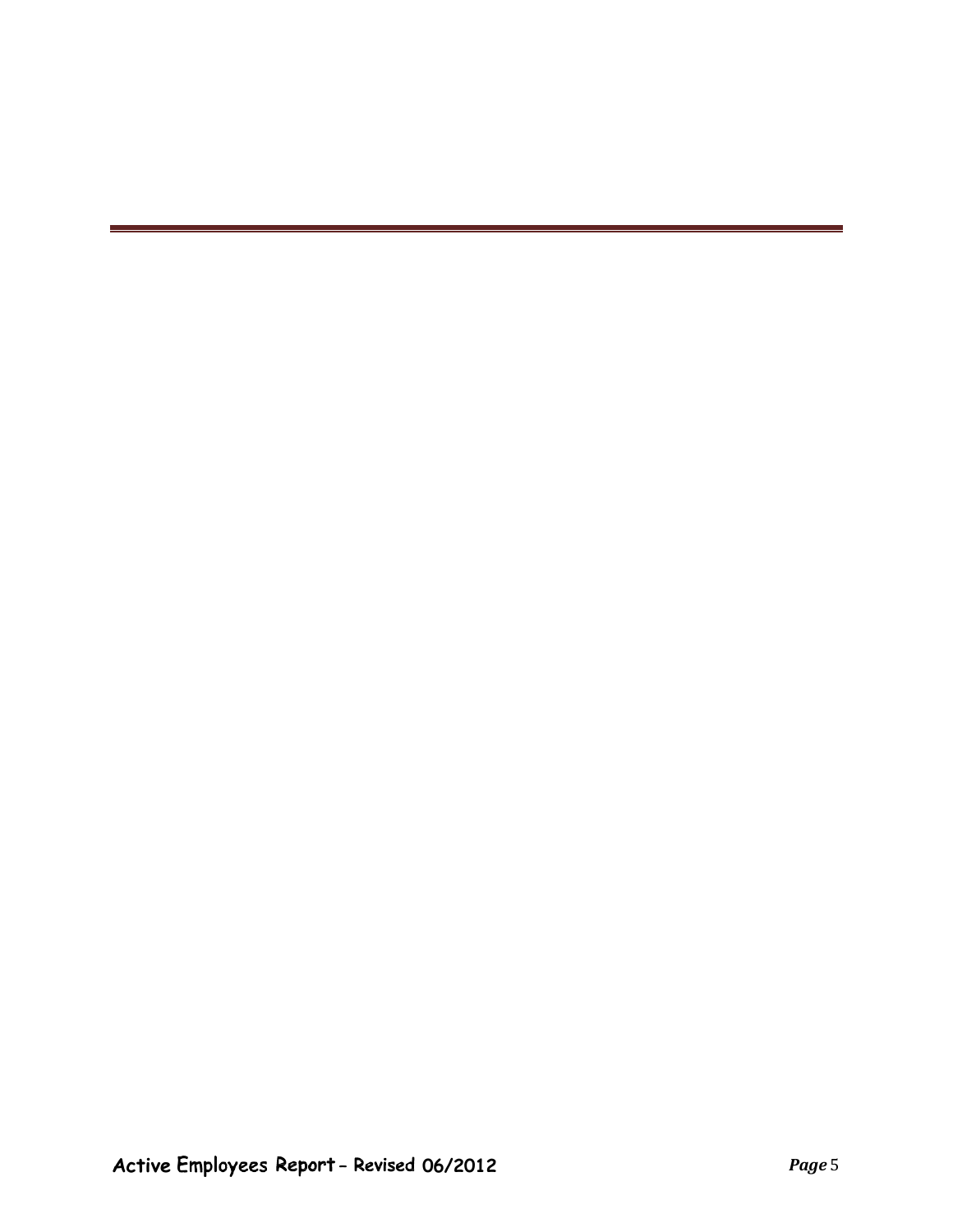Active Employees Report - Revised 06/2012 **1998 Page** 5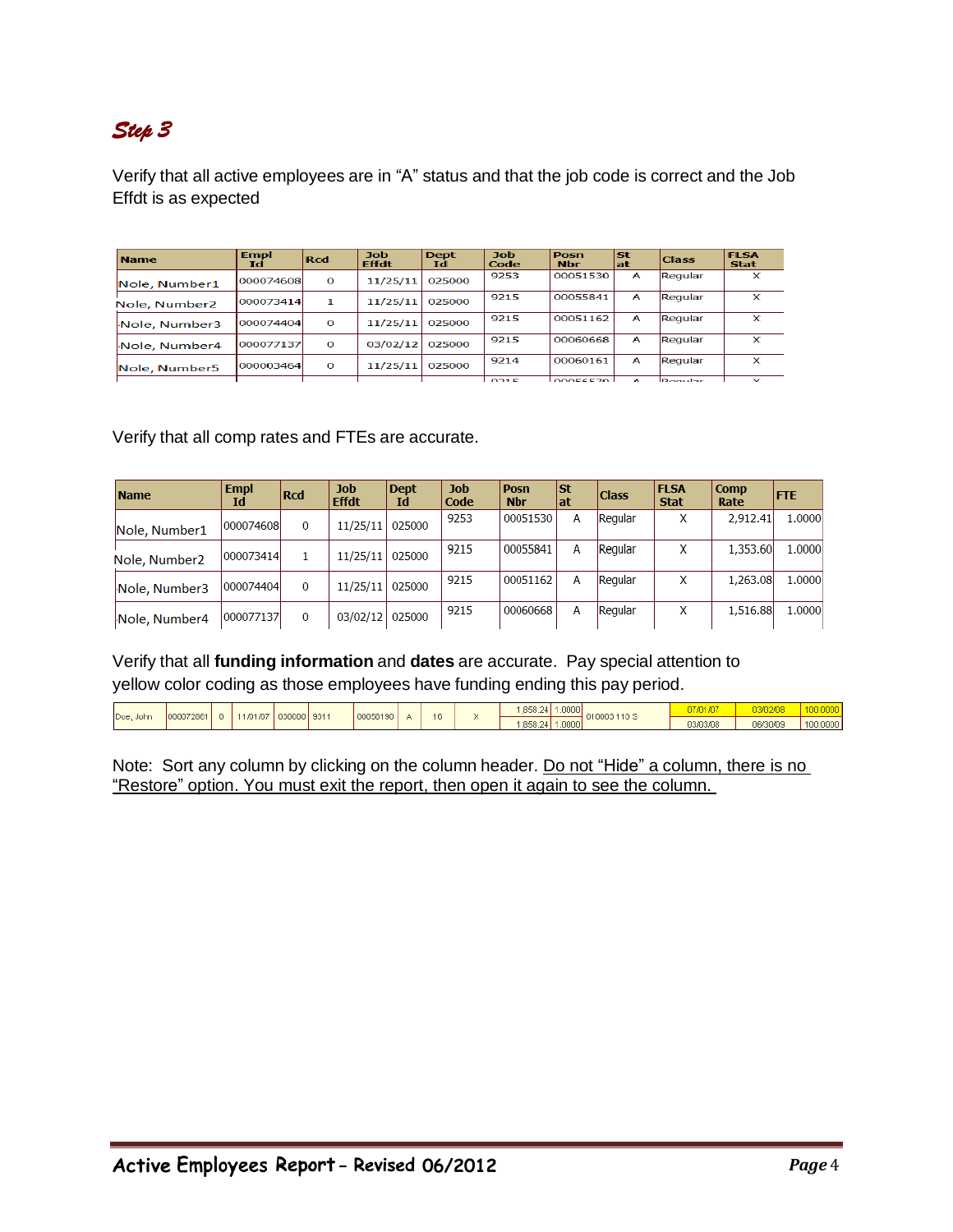

Verify that all active employees are in "A" status and that the job code is correct and the Job Effdt is as expected

| <b>Name</b>   | <b>Empl</b><br>Tđ | <b>Rcd</b>   | <b>Job</b><br><b>Effdt</b> | <b>Dept</b><br>Id | <b>Job</b><br>Code | Posn<br><b>Nbr</b> | <b>St</b><br>at | <b>Class</b> | <b>FLSA</b><br><b>Stat</b> |
|---------------|-------------------|--------------|----------------------------|-------------------|--------------------|--------------------|-----------------|--------------|----------------------------|
| Nole, Number1 | 000074608         | $\Omega$     | 11/25/11                   | 025000            | 9253               | 00051530           | A               | Regular      | ×                          |
| Nole, Number2 | 000073414         | 1            | 11/25/11                   | 025000            | 9215               | 00055841           | А               | Regular      | $\times$                   |
| Nole, Number3 | 000074404         | $\mathbf{o}$ | 11/25/11                   | 025000            | 9215               | 00051162           | А               | Regular      | $\times$                   |
| Nole, Number4 | 000077137         | $\Omega$     | 03/02/12                   | 025000            | 9215               | 00060668           | А               | Regular      | $\mathsf{x}$               |
| Nole, Number5 | 000003464         | $\circ$      | 11/25/11                   | 025000            | 9214               | 00060161           | А               | Regular      | x                          |
|               |                   |              |                            |                   | 9215               | 00056570           | A               | Regular      | v.                         |

Verify that all comp rates and FTEs are accurate.

| <b>Name</b>   | <b>Empl</b><br>Id | Rcd | <b>Job</b><br><b>Effdt</b> | Dept<br>Id | <b>Job</b><br>Code | Posn<br><b>Nbr</b> | lSt<br>lat | <b>Class</b> | <b>FLSA</b><br><b>Stat</b> | <b>Comp</b><br>Rate | <b>FTE</b> |
|---------------|-------------------|-----|----------------------------|------------|--------------------|--------------------|------------|--------------|----------------------------|---------------------|------------|
| Nole, Number1 | 000074608         | 0   | 11/25/11                   | 025000     | 9253               | 00051530           | А          | Regular      | x                          | 2,912.41            | 1.0000     |
| Nole, Number2 | 000073414         |     | 11/25/11 025000            |            | 9215               | 00055841           | А          | Regular      | x                          | 1,353.60            | 1.0000     |
| Nole, Number3 | 000074404         | 0   | 11/25/11 025000            |            | 9215               | 00051162           | А          | Regular      | x                          | 1,263.08            | 1.0000     |
| Nole, Number4 | 000077137         | 0   | 03/02/12 025000            |            | 9215               | 00060668           | А          | Regular      | x                          | 1,516.88            | 1.0000     |

Verify that all **funding information** and **dates** are accurate. Pay special attention to yellow color coding as those employees have funding ending this pay period.

| Doe, John | 10000.<br>7286' | 1/01/07 | ,000<br>030 | $  -$<br>931 | 00058190 | $\overline{AB}$ | .0000<br>858<br>24<br>and which can | 010003110S |          |          |          |
|-----------|-----------------|---------|-------------|--------------|----------|-----------------|-------------------------------------|------------|----------|----------|----------|
|           |                 |         |             |              |          |                 | 858<br>.0000<br>24.                 |            | 93/03/08 | 06/30/09 | 0000.001 |

Note: Sort any column by clicking on the column header. Do not "Hide" a column, there is no "Restore" option. You must exit the report, then open it again to see the column.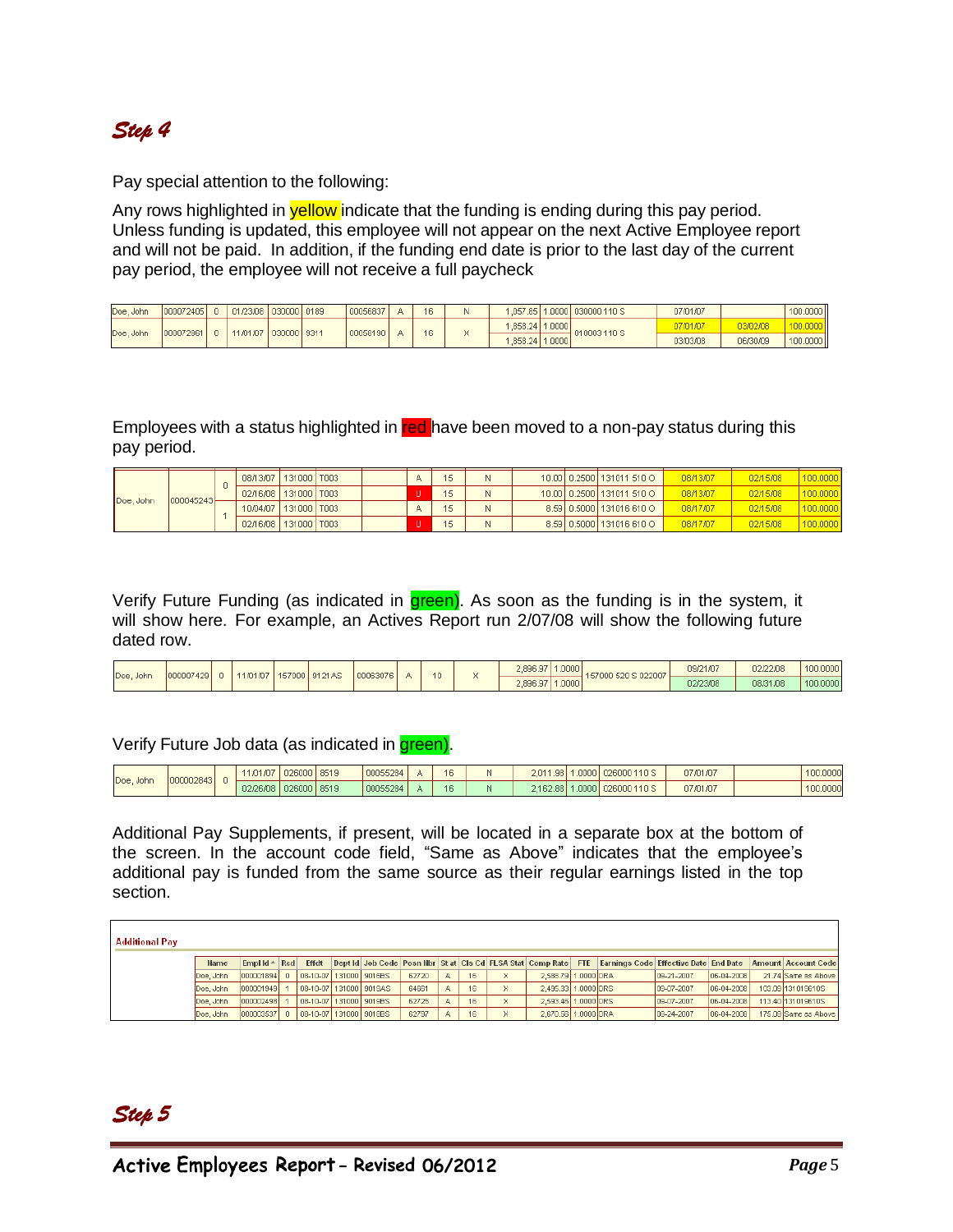

Pay special attention to the following:

Any rows highlighted in **yellow** indicate that the funding is ending during this pay period. Unless funding is updated, this employee will not appear on the next Active Employee report and will not be paid. In addition, if the funding end date is prior to the last day of the current pay period, the employee will not receive a full paycheck

| Doe, John | 000072405 | 01/23/08 030000 0189 |             | 00056837 |    |                 | 1,057.85 1.0000 030000 110 S | 07/01/07  |          | 100.0000  |
|-----------|-----------|----------------------|-------------|----------|----|-----------------|------------------------------|-----------|----------|-----------|
| Doe, John | 000072861 | 11/01/07             | 030000 9311 | 00058190 | 16 | 1,858.24 1.0000 | 010003110S                   | 07./01./0 |          |           |
|           |           |                      |             |          |    | 1.858.24 1.0000 |                              | 03/03/08  | 06/30/09 | '100.0000 |

Employees with a status highlighted in red have been moved to a non-pay status during this pay period.

|           |           | 08/13/07 131000 1003     |  |  |    |  | 10.00 0.2500 131011 510 O | -08/13/07 | .02/15/08 |          |
|-----------|-----------|--------------------------|--|--|----|--|---------------------------|-----------|-----------|----------|
| Doe, John | 000045243 | 02/16/08 131000 1003     |  |  |    |  | 10.00 0.2500 131011 510 0 | 08/13/07  | 02/15/08  | 100.0000 |
|           |           | 10/04/07 131000 T003     |  |  |    |  | 8.59 0.5000 131016 610 O  | 08/17/07  | 02/15/08  | 100.0000 |
|           |           | 02/16/08   131000   T003 |  |  | 15 |  | 8.59 0.5000 131016 610 O  | 08/17/07  | 024508    |          |

Verify Future Funding (as indicated in **green)**. As soon as the funding is in the system, it will show here. For example, an Actives Report run 2/07/08 will show the following future dated row.

| Doe, John | 000007429 | 11/01/07 | 157000 9121AS | 00063076 | 10 | 2,896.97 | .00001 | 520 S 022007<br>521. | 09/21/07 | 02/22/08 | 100,0000 |
|-----------|-----------|----------|---------------|----------|----|----------|--------|----------------------|----------|----------|----------|
|           |           |          |               |          |    | .896.97  | .00001 |                      | 02/23/08 | 08/31/08 | 100,0000 |

Verify Future Job data (as indicated in **green)**.

| Doe, John | 000002843 | 1/01/07  | 026000 | 8519 | 00055284 |    | м | 2.011<br>.98 <sub>1</sub> |        | 110 S<br>1.0000 026000 1 | 07/01/07 | 100,0000 |
|-----------|-----------|----------|--------|------|----------|----|---|---------------------------|--------|--------------------------|----------|----------|
|           |           | 02/26/08 |        | 8519 | 00055284 | 16 |   | 2,162.88                  | .00001 | 110.5<br>026000          | 07/01/07 | 100,0000 |

Additional Pay Supplements, if present, will be located in a separate box at the bottom of the screen. In the account code field, "Same as Above" indicates that the employee's additional pay is funded from the same source as their regular earnings listed in the top section.

| <b>Additional Pay</b> |             |                                    |    |                        |  |  |       |   |    |   |                     |  |                                                                                                       |                   |                  |  |                            |
|-----------------------|-------------|------------------------------------|----|------------------------|--|--|-------|---|----|---|---------------------|--|-------------------------------------------------------------------------------------------------------|-------------------|------------------|--|----------------------------|
|                       | <b>Name</b> | Empl $\mathsf{Id}$ $\cong$ Red     |    | <b>Effdt</b>           |  |  |       |   |    |   |                     |  | Dept Id Job Code Posn Ilbr St at CIs Cd FLSA Stat Comp Rate FTE Earnings Code Effective Date End Date |                   |                  |  | <b>Amount Account Code</b> |
|                       | Doe, John   | 000001894 0 08-10-07 131000 9016BS |    |                        |  |  | 62720 |   | 16 |   | 2.588.79 1.0000 DRA |  |                                                                                                       | $109 - 21 - 2007$ | $ 06-04-2008 $   |  | 21.74 Same as Above        |
|                       | Doe, John   | 000001949                          |    | 08-10-07 131000 9019AS |  |  | 64661 |   | 16 |   | 2.495.33 1.0000 DRS |  |                                                                                                       | 09-07-2007        | $06 - 04 - 2008$ |  | 103.09 131019610S          |
|                       | Doe, John   | 000002498                          |    | 08-10-07 131000 9019BS |  |  | 62725 |   | 16 |   | 2.593.46 1.0000 DRS |  |                                                                                                       | 09-07-2007        | $ 06-04-2008 $   |  | 113.40 131019610S          |
|                       | Doe, John   | 000003537                          | n. | 08-10-07 131000 9018BS |  |  | 62797 | A | 16 | X | 2.670.56 1.0000 DRA |  |                                                                                                       | 08-24-2007        | 06-04-2008       |  | 175.09 Same as Above       |

#### *Step 5*